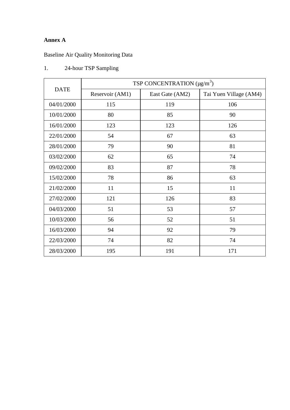## **Annex A**

## Baseline Air Quality Monitoring Data

| <b>DATE</b> | TSP CONCENTRATION $(\mu g/m^3)$ |                 |                        |  |  |  |
|-------------|---------------------------------|-----------------|------------------------|--|--|--|
|             | Reservoir (AM1)                 | East Gate (AM2) | Tai Yuen Village (AM4) |  |  |  |
| 04/01/2000  | 115                             | 119             | 106                    |  |  |  |
| 10/01/2000  | 80                              | 85              | 90                     |  |  |  |
| 16/01/2000  | 123                             | 123             | 126                    |  |  |  |
| 22/01/2000  | 54                              | 67              | 63                     |  |  |  |
| 28/01/2000  | 79                              | 90              | 81                     |  |  |  |
| 03/02/2000  | 62                              | 65              | 74                     |  |  |  |
| 09/02/2000  | 83                              | 87              | 78                     |  |  |  |
| 15/02/2000  | 78                              | 86              | 63                     |  |  |  |
| 21/02/2000  | 11                              | 15              | 11                     |  |  |  |
| 27/02/2000  | 121                             | 126             | 83                     |  |  |  |
| 04/03/2000  | 51                              | 53              | 57                     |  |  |  |
| 10/03/2000  | 56                              | 52              | 51                     |  |  |  |
| 16/03/2000  | 94                              | 92              | 79                     |  |  |  |
| 22/03/2000  | 74                              | 82<br>74        |                        |  |  |  |
| 28/03/2000  | 195                             | 191             | 171                    |  |  |  |

## 1. 24-hour TSP Sampling